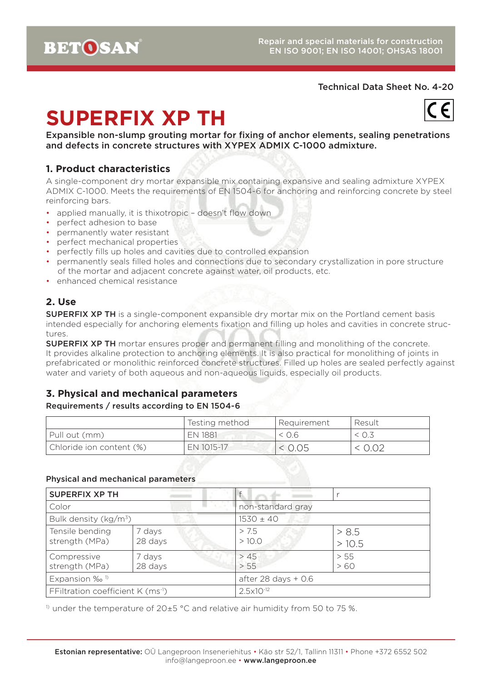# **SUPERFIX XP TH**



Expansible non-slump grouting mortar for fixing of anchor elements, sealing penetrations and defects in concrete structures with XYPEX ADMIX C-1000 admixture.

# **1. Product characteristics**

A single-component dry mortar expansible mix containing expansive and sealing admixture XYPEX ADMIX C-1000. Meets the requirements of EN 1504-6 for anchoring and reinforcing concrete by steel reinforcing bars.

- applied manually, it is thixotropic doesn't flow down
- perfect adhesion to base
- permanently water resistant
- perfect mechanical properties
- perfectly fills up holes and cavities due to controlled expansion
- permanently seals filled holes and connections due to secondary crystallization in pore structure of the mortar and adjacent concrete against water, oil products, etc.
- enhanced chemical resistance

# **2. Use**

**SUPERFIX XP TH** is a single-component expansible dry mortar mix on the Portland cement basis intended especially for anchoring elements fixation and filling up holes and cavities in concrete structures.

**SUPERFIX XP TH** mortar ensures proper and permanent filling and monolithing of the concrete. It provides alkaline protection to anchoring elements. It is also practical for monolithing of joints in prefabricated or monolithic reinforced concrete structures. Filled up holes are sealed perfectly against water and variety of both aqueous and non-aqueous liquids, especially oil products.

# **3. Physical and mechanical parameters**

#### Requirements / results according to EN 1504-6

|                          | Testing method | l Requirement | Result |
|--------------------------|----------------|---------------|--------|
| Pull out (mm)            | EN 1881        | < 0.6         |        |
| Chloride ion content (%) | EN 1015-17     | < 0.05        | < 0.02 |

#### Physical and mechanical parameters

| <b>SUPERFIX XP TH</b>                         |                   |                       |                |  |
|-----------------------------------------------|-------------------|-----------------------|----------------|--|
| Color                                         |                   | non-standard gray     |                |  |
| Bulk density (kg/m <sup>3</sup> )             |                   | $1530 \pm 40$         |                |  |
| Tensile bending<br>strength (MPa)             | 7 days<br>28 days | > 7.5<br>>10.0        | > 8.5<br>>10.5 |  |
| Compressive<br>strength (MPa)                 | 7 days<br>28 days | > 45<br>> 55          | > 55<br>>60    |  |
| Expansion ‰ <sup>1)</sup>                     |                   | after 28 days $+$ 0.6 |                |  |
| FFiltration coefficient K (ms <sup>-1</sup> ) |                   | $2.5 \times 10^{-12}$ |                |  |

<sup>1)</sup> under the temperature of 20 $\pm$ 5 °C and relative air humidity from 50 to 75 %.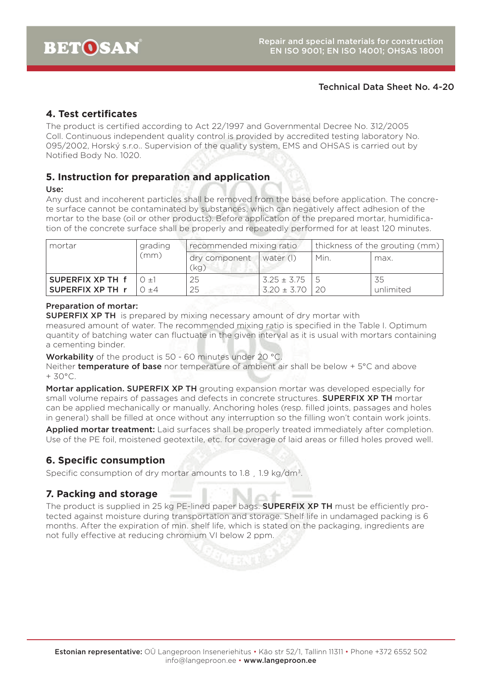# **4. Test certificates**

The product is certified according to Act 22/1997 and Governmental Decree No. 312/2005 Coll. Continuous independent quality control is provided by accredited testing laboratory No. 095/2002, Horský s.r.o.. Supervision of the quality system, EMS and OHSAS is carried out by Notified Body No. 1020.

## **5. Instruction for preparation and application**

#### Use:

Any dust and incoherent particles shall be removed from the base before application. The concrete surface cannot be contaminated by substances, which can negatively affect adhesion of the mortar to the base (oil or other products). Before application of the prepared mortar, humidification of the concrete surface shall be properly and repeatedly performed for at least 120 minutes.

| mortar                  | grading  | recommended mixing ratio |                 | thickness of the grouting (mm) |           |
|-------------------------|----------|--------------------------|-----------------|--------------------------------|-----------|
|                         | (mm)     | dry component<br>(kg)    | $ $ water $( )$ | Min.                           | max.      |
| SUPERFIX XP TH f        | $() + 1$ | 25                       | $3.25 \pm 3.75$ |                                | 35        |
| <b>SUPERFIX XP TH r</b> | $+4$     | 25                       | $3.20 \pm 3.70$ | 20                             | unlimited |

#### Preparation of mortar:

**SUPERFIX XP TH** is prepared by mixing necessary amount of dry mortar with measured amount of water. The recommended mixing ratio is specified in the Table I. Optimum quantity of batching water can fluctuate in the given interval as it is usual with mortars containing a cementing binder.

Workability of the product is 50 - 60 minutes under 20 °C.

Neither **temperature of base** nor temperature of ambient air shall be below + 5°C and above + 30°C.

Mortar application. SUPERFIX XP TH grouting expansion mortar was developed especially for small volume repairs of passages and defects in concrete structures. **SUPERFIX XP TH** mortar can be applied mechanically or manually. Anchoring holes (resp. filled joints, passages and holes in general) shall be filled at once without any interruption so the filling won't contain work joints.

Applied mortar treatment: Laid surfaces shall be properly treated immediately after completion. Use of the PE foil, moistened geotextile, etc. for coverage of laid areas or filled holes proved well.

# **6. Specific consumption**

Specific consumption of dry mortar amounts to 1.8, 1.9 kg/dm<sup>3</sup>.

## **7. Packing and storage**

The product is supplied in 25 kg PE-lined paper bags. **SUPERFIX XP TH** must be efficiently protected against moisture during transportation and storage. Shelf life in undamaged packing is 6 months. After the expiration of min. shelf life, which is stated on the packaging, ingredients are not fully effective at reducing chromium VI below 2 ppm.

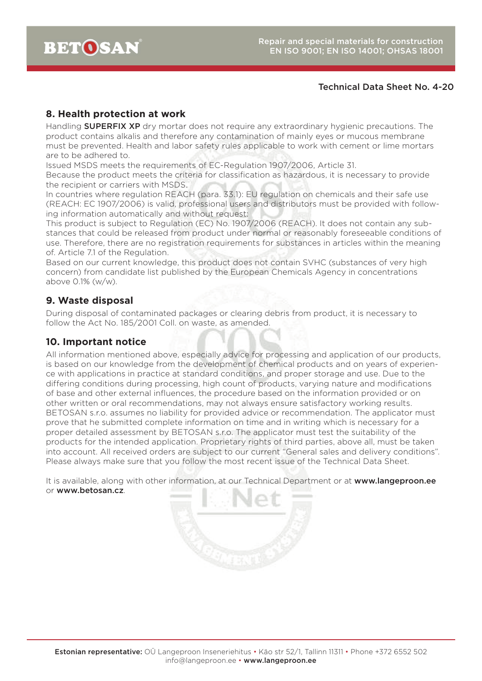# **8. Health protection at work**

Handling **SUPERFIX XP** dry mortar does not require any extraordinary hygienic precautions. The product contains alkalis and therefore any contamination of mainly eyes or mucous membrane must be prevented. Health and labor safety rules applicable to work with cement or lime mortars are to be adhered to.

Issued MSDS meets the requirements of EC-Regulation 1907/2006, Article 31.

Because the product meets the criteria for classification as hazardous, it is necessary to provide the recipient or carriers with MSDS.

In countries where regulation REACH (para. 33.1): EU regulation on chemicals and their safe use (REACH: EC 1907/2006) is valid, professional users and distributors must be provided with following information automatically and without request:

This product is subject to Regulation (EC) No. 1907/2006 (REACH). It does not contain any substances that could be released from product under normal or reasonably foreseeable conditions of use. Therefore, there are no registration requirements for substances in articles within the meaning of. Article 7.1 of the Regulation.

Based on our current knowledge, this product does not contain SVHC (substances of very high concern) from candidate list published by the European Chemicals Agency in concentrations above 0.1% (w/w).

## **9. Waste disposal**

During disposal of contaminated packages or clearing debris from product, it is necessary to follow the Act No. 185/2001 Coll. on waste, as amended.

### **10. Important notice**

All information mentioned above, especially advice for processing and application of our products, is based on our knowledge from the development of chemical products and on years of experience with applications in practice at standard conditions, and proper storage and use. Due to the differing conditions during processing, high count of products, varying nature and modifications of base and other external influences, the procedure based on the information provided or on other written or oral recommendations, may not always ensure satisfactory working results. BETOSAN s.r.o. assumes no liability for provided advice or recommendation. The applicator must prove that he submitted complete information on time and in writing which is necessary for a proper detailed assessment by BETOSAN s.r.o. The applicator must test the suitability of the products for the intended application. Proprietary rights of third parties, above all, must be taken into account. All received orders are subject to our current "General sales and delivery conditions". Please always make sure that you follow the most recent issue of the Technical Data Sheet.

It is available, along with other information, at our Technical Department or at www.langeproon.ee or www.betosan.cz.